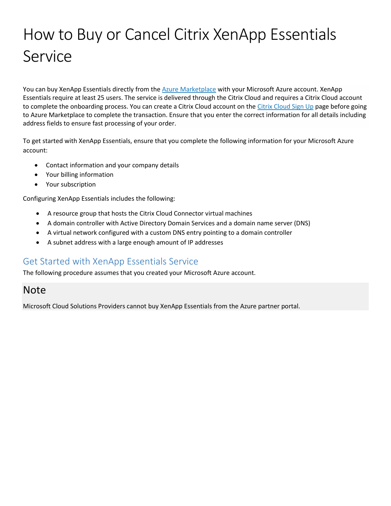# How to Buy or Cancel Citrix XenApp Essentials Service

You can buy XenApp Essentials directly from the [Azure Marketplace](https://azuremarketplace.microsoft.com/en-us/marketplace/apps/Citrix.XenAppEssentials) with your Microsoft Azure account. XenApp Essentials require at least 25 users. The service is delivered through the Citrix Cloud and requires a Citrix Cloud account to complete the onboarding process. You can create a Citrix Cloud account on the [Citrix Cloud Sign Up](https://onboarding.cloud.com/) page before going to Azure Marketplace to complete the transaction. Ensure that you enter the correct information for all details including address fields to ensure fast processing of your order.

To get started with XenApp Essentials, ensure that you complete the following information for your Microsoft Azure account:

- Contact information and your company details
- Your billing information
- Your subscription

Configuring XenApp Essentials includes the following:

- A resource group that hosts the Citrix Cloud Connector virtual machines
- A domain controller with Active Directory Domain Services and a domain name server (DNS)
- A virtual network configured with a custom DNS entry pointing to a domain controller
- A subnet address with a large enough amount of IP addresses

### Get Started with XenApp Essentials Service

The following procedure assumes that you created your Microsoft Azure account.

# Note

Microsoft Cloud Solutions Providers cannot buy XenApp Essentials from the Azure partner portal.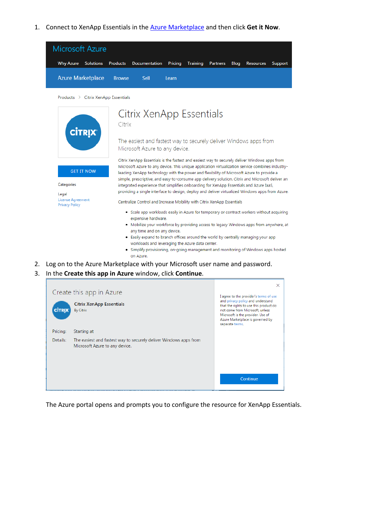1. Connect to XenApp Essentials in the [Azure Marketplace](https://azuremarketplace.microsoft.com/en-us/marketplace/apps/Citrix.XenAppEssentials) and then click **Get it Now**.



Products > Citrix XenApp Essentials



2. Log on to the Azure Marketplace with your Microsoft user name and password.

#### 3. In the **Create this app in Azure** window, click **Continue**.

| <b>CİTRIX</b>        | Create this app in Azure<br><b>Citrix XenApp Essentials</b><br><b>By Citrix</b>  | $\times$<br>I agree to the provider's terms of use<br>and privacy policy and understand<br>that the rights to use this product do<br>not come from Microsoft, unless<br>Microsoft is the provider. Use of |
|----------------------|----------------------------------------------------------------------------------|-----------------------------------------------------------------------------------------------------------------------------------------------------------------------------------------------------------|
| Pricing:<br>Details: | Starting at<br>The easiest and fastest way to securely deliver Windows apps from | Azure Marketplace is governed by<br>separate terms.                                                                                                                                                       |
|                      | Microsoft Azure to any device.                                                   |                                                                                                                                                                                                           |
|                      |                                                                                  | Continue                                                                                                                                                                                                  |

The Azure portal opens and prompts you to configure the resource for XenApp Essentials.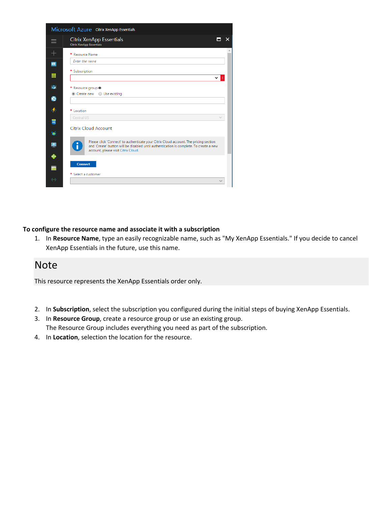

### **To configure the resource name and associate it with a subscription**

1. In **Resource Name**, type an easily recognizable name, such as "My XenApp Essentials." If you decide to cancel XenApp Essentials in the future, use this name.

### Note

This resource represents the XenApp Essentials order only.

- 2. In **Subscription**, select the subscription you configured during the initial steps of buying XenApp Essentials.
- 3. In **Resource Group**, create a resource group or use an existing group. The Resource Group includes everything you need as part of the subscription.
- 4. In **Location**, selection the location for the resource.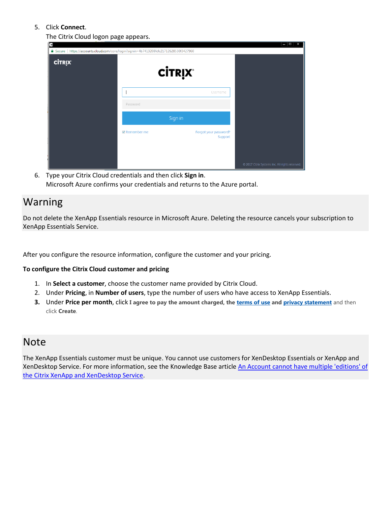### 5. Click **Connect**.

The Citrix Cloud logon page appears.

| G<br>■ Secure   https://accounts.cloud.com/core/login?signin=4b7413208fcfc21712628530f3427960<br><b>CİTRIX</b> |                    | <b>CİTRIX®</b>                   | - 0<br>$\mathbf{x}$                             |
|----------------------------------------------------------------------------------------------------------------|--------------------|----------------------------------|-------------------------------------------------|
|                                                                                                                | Password           | Username                         |                                                 |
|                                                                                                                |                    | Sign in                          |                                                 |
|                                                                                                                | $\vee$ Remember me | Forgot your password?<br>Support |                                                 |
|                                                                                                                |                    |                                  | © 2017 Citrix Systems Inc. All rights reserved. |

6. Type your Citrix Cloud credentials and then click **Sign in**. Microsoft Azure confirms your credentials and returns to the Azure portal.

# Warning

Do not delete the XenApp Essentials resource in Microsoft Azure. Deleting the resource cancels your subscription to XenApp Essentials Service.

After you configure the resource information, configure the customer and your pricing.

### **To configure the Citrix Cloud customer and pricing**

- 1. In **Select a customer**, choose the customer name provided by Citrix Cloud.
- 2. Under **Pricing**, in **Number of users**, type the number of users who have access to XenApp Essentials.
- **3.** Under **Price per month**, click **I agree to pay the amount charged, the [terms of use](https://www.citrix.com/content/dam/citrix/en_us/documents/buy/enterprise-saas-eusa.pdf) and [privacy statement](https://www.citrix.com/about/legal/privacy/)** and then click **Create**.

### Note

The XenApp Essentials customer must be unique. You cannot use customers for XenDesktop Essentials or XenApp and XenDesktop Service. For more information, see the Knowledge Base article [An Account cannot have multiple 'editions'](https://support.citrix.com/article/CTX222910) of [the Citrix XenApp and XenDesktop Service.](https://support.citrix.com/article/CTX222910)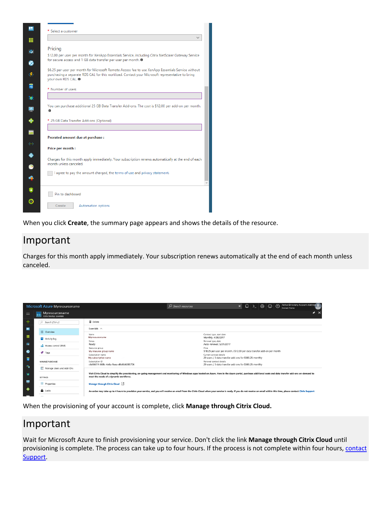| * Select a customer<br>Pricing<br>\$12.00 per user per month for XenApp Essentials Service, including Citrix NetScaler Gateway Service                                                                                       |  |
|------------------------------------------------------------------------------------------------------------------------------------------------------------------------------------------------------------------------------|--|
|                                                                                                                                                                                                                              |  |
|                                                                                                                                                                                                                              |  |
|                                                                                                                                                                                                                              |  |
| for secure access and 1 GB data transfer per user per month. O                                                                                                                                                               |  |
| \$6.25 per user per month for Microsoft Remote Access fee to use XenApp Essentials Service without<br>purchasing a separate RDS CAL for this workload. Contact your Microsoft representative to bring<br>your own RDS CAL. @ |  |
| * Number of users                                                                                                                                                                                                            |  |
|                                                                                                                                                                                                                              |  |
| You can purchase additional 25 GB Data Transfer Add-ons. The cost is \$12.00 per add-on per month.                                                                                                                           |  |
| * 25 GB Data Transfer Add-ons (Optional)                                                                                                                                                                                     |  |
|                                                                                                                                                                                                                              |  |
| Prorated amount due at purchase :                                                                                                                                                                                            |  |
| Price per month:                                                                                                                                                                                                             |  |
| Charges for this month apply immediately. Your subscription renews automatically at the end of each<br>month unless canceled.                                                                                                |  |
| I agree to pay the amount charged, the terms of use and privacy statement.                                                                                                                                                   |  |
|                                                                                                                                                                                                                              |  |
|                                                                                                                                                                                                                              |  |
|                                                                                                                                                                                                                              |  |
| Pin to dashboard                                                                                                                                                                                                             |  |

When you click **Create**, the summary page appears and shows the details of the resource.

# Important

Charges for this month apply immediately. Your subscription renews automatically at the end of each month unless canceled.



When the provisioning of your account is complete, click **Manage through Citrix Cloud.**

# Important

Wait for Microsoft Azure to finish provisioning your service. Don't click the link **Manage through Citrix Cloud** until provisioning is complete. The process can take up to four hours. If the process is not complete within four hours, [contact](https://www.citrix.com/support/open-a-support-case/) [Support.](https://www.citrix.com/support/open-a-support-case/)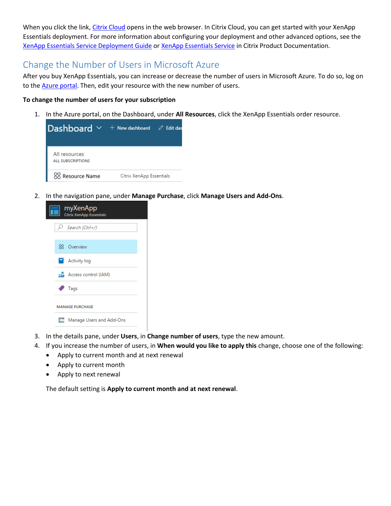When you click the link[, Citrix Cloud](https://xenapp.cloud.com/manage) opens in the web browser. In Citrix Cloud, you can get started with your XenApp Essentials deployment. For more information about configuring your deployment and other advanced options, see the [XenApp Essentials Service Deployment Guide](http://docs.citrix.com/content/dam/docs/en-us/citrix-cloud/downloads/xenapp-essentials-deployment-guide.pdf) o[r XenApp Essentials Service](http://docs.citrix.com/en-us/citrix-cloud/xenapp-and-xendesktop-service/xenapp-essentials.html) in Citrix Product Documentation.

# Change the Number of Users in Microsoft Azure

After you buy XenApp Essentials, you can increase or decrease the number of users in Microsoft Azure. To do so, log on to the [Azure portal.](https://portal.azure.com/) Then, edit your resource with the new number of users.

### **To change the number of users for your subscription**

1. In the Azure portal, on the Dashboard, under **All Resources**, click the XenApp Essentials order resource.

| Dashboard $\vee$ + New dashboard $\oslash$ Edit das |                          |  |
|-----------------------------------------------------|--------------------------|--|
| All resources<br>ALL SUBSCRIPTIONS                  |                          |  |
| 88 Resource Name                                    | Citrix XenApp Essentials |  |

2. In the navigation pane, under **Manage Purchase**, click **Manage Users and Add-Ons**.

| myXenApp<br><b>Citrix XenApp Essentials</b> |  |  |
|---------------------------------------------|--|--|
| $\mathcal{P}$ Search (Ctrl+/)               |  |  |
| <b>XX</b> Overview                          |  |  |
| $\Box$ Activity log                         |  |  |
| Access control (IAM)                        |  |  |
| Tags                                        |  |  |
| <b>MANAGE PURCHASE</b>                      |  |  |
| Manage Users and Add-Ons<br>⊏               |  |  |

- 3. In the details pane, under **Users**, in **Change number of users**, type the new amount.
- 4. If you increase the number of users, in **When would you like to apply this** change, choose one of the following:
	- Apply to current month and at next renewal
	- Apply to current month
	- Apply to next renewal

The default setting is **Apply to current month and at next renewal**.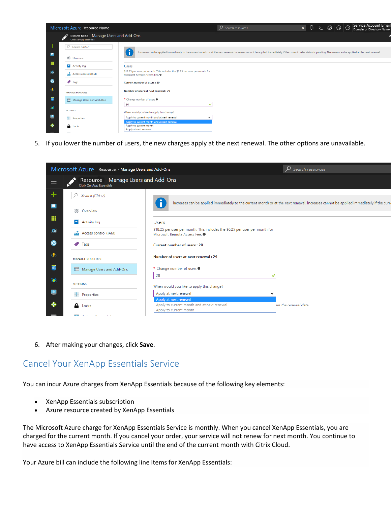

5. If you lower the number of users, the new charges apply at the next renewal. The other options are unavailable.

|           | Microsoft Azure Resource - Manage Users and Add-Ons<br>$\mathcal{P}$ Search resources |                                                                                                                          |                                                                                                                                        |
|-----------|---------------------------------------------------------------------------------------|--------------------------------------------------------------------------------------------------------------------------|----------------------------------------------------------------------------------------------------------------------------------------|
| $\equiv$  | Resource - Manage Users and Add-Ons<br><b>Citrix XenApp Essentials</b>                |                                                                                                                          |                                                                                                                                        |
| $\pm$     | Search (Ctrl+/)                                                                       |                                                                                                                          |                                                                                                                                        |
| н         | 88 Overview                                                                           |                                                                                                                          | Increases can be applied immediately to the current month or at the next renewal. Increases cannot be applied immediately if the curre |
| m         | о<br>Activity log                                                                     | <b>Users</b>                                                                                                             |                                                                                                                                        |
| $\bullet$ | Access control (IAM)<br>хM.                                                           | \$18.25 per user per month. This includes the \$6.25 per user per month for<br>Microsoft Remote Access Fee. <sup>O</sup> |                                                                                                                                        |
| ۰         | Tags                                                                                  | <b>Current number of users: 29</b>                                                                                       |                                                                                                                                        |
|           | <b>MANAGE PURCHASE</b>                                                                | Number of users at next renewal: 29                                                                                      |                                                                                                                                        |
| 圖         | Manage Users and Add-Ons                                                              | * Change number of users <sup>0</sup>                                                                                    |                                                                                                                                        |
| ۵         | <b>SETTINGS</b>                                                                       | 28<br>When would you like to apply this change?                                                                          |                                                                                                                                        |
| 우         | <b>H</b> Properties                                                                   | Apply at next renewal                                                                                                    | $\check{ }$                                                                                                                            |
| æ.        | <b>A</b> Locks                                                                        | Apply at next renewal<br>Apply to current month and at next renewal<br>Apply to current month                            | bre the renewal date.                                                                                                                  |
|           | <b>STATE CALCULATION CONTINUES.</b>                                                   |                                                                                                                          |                                                                                                                                        |

6. After making your changes, click **Save**.

### Cancel Your XenApp Essentials Service

You can incur Azure charges from XenApp Essentials because of the following key elements:

- XenApp Essentials subscription
- Azure resource created by XenApp Essentials

The Microsoft Azure charge for XenApp Essentials Service is monthly. When you cancel XenApp Essentials, you are charged for the current month. If you cancel your order, your service will not renew for next month. You continue to have access to XenApp Essentials Service until the end of the current month with Citrix Cloud.

Your Azure bill can include the following line items for XenApp Essentials: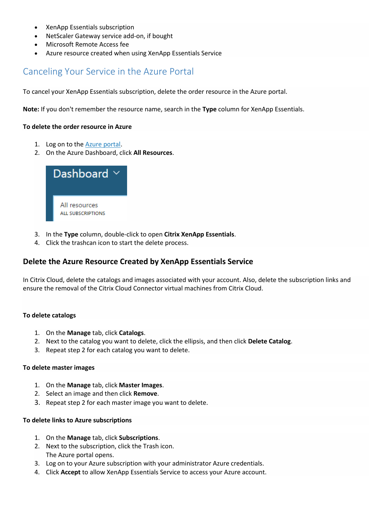- XenApp Essentials subscription
- NetScaler Gateway service add-on, if bought
- Microsoft Remote Access fee
- Azure resource created when using XenApp Essentials Service

### Canceling Your Service in the Azure Portal

To cancel your XenApp Essentials subscription, delete the order resource in the Azure portal.

**Note:** If you don't remember the resource name, search in the **Type** column for XenApp Essentials.

### **To delete the order resource in Azure**

- 1. Log on to the [Azure portal.](https://portal.azure.com/)
- 2. On the Azure Dashboard, click **All Resources**.



- 3. In the **Type** column, double-click to open **Citrix XenApp Essentials**.
- 4. Click the trashcan icon to start the delete process.

### **Delete the Azure Resource Created by XenApp Essentials Service**

In Citrix Cloud, delete the catalogs and images associated with your account. Also, delete the subscription links and ensure the removal of the Citrix Cloud Connector virtual machines from Citrix Cloud.

### **To delete catalogs**

- 1. On the **Manage** tab, click **Catalogs**.
- 2. Next to the catalog you want to delete, click the ellipsis, and then click **Delete Catalog**.
- 3. Repeat step 2 for each catalog you want to delete.

#### **To delete master images**

- 1. On the **Manage** tab, click **Master Images**.
- 2. Select an image and then click **Remove**.
- 3. Repeat step 2 for each master image you want to delete.

### **To delete links to Azure subscriptions**

- 1. On the **Manage** tab, click **Subscriptions**.
- 2. Next to the subscription, click the Trash icon. The Azure portal opens.
- 3. Log on to your Azure subscription with your administrator Azure credentials.
- 4. Click **Accept** to allow XenApp Essentials Service to access your Azure account.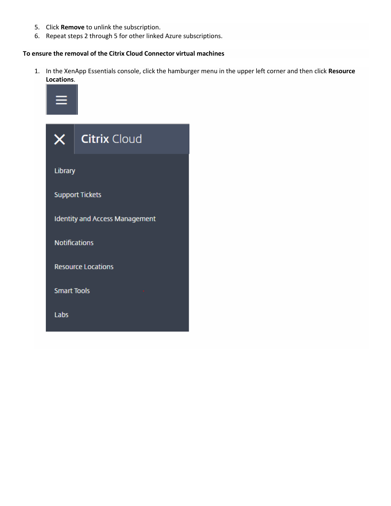- 5. Click **Remove** to unlink the subscription.
- 6. Repeat steps 2 through 5 for other linked Azure subscriptions.

### **To ensure the removal of the Citrix Cloud Connector virtual machines**

1. In the XenApp Essentials console, click the hamburger menu in the upper left corner and then click **Resource Locations**.



| X                                     | <b>Citrix Cloud</b>       |  |
|---------------------------------------|---------------------------|--|
| Library                               |                           |  |
|                                       | <b>Support Tickets</b>    |  |
| <b>Identity and Access Management</b> |                           |  |
| <b>Notifications</b>                  |                           |  |
|                                       | <b>Resource Locations</b> |  |
| <b>Smart Tools</b>                    |                           |  |
| Labs                                  |                           |  |